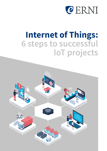

# **Internet of Things: 6 steps to successful IoT projects**

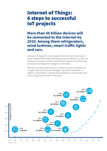# Internet of Things: 6 steps to successful IoT projects

**More than 50 billion devices will be connected to the Internet by 2020. Among them refrigerators, wind turbines, smart traffic lights and cars.**

Internet of Things (IoT) is the broad term for the interconnectivity of physical objects that enables sending and receiving data. It is also one of the core concepts of Smart Factories that improves manufacturing processes by bringing the intelligence to the table.

With IoT, even the smallest part of a machine can be connected with a single protocol that sends messages, instructions and alerts. In addition, all the data is collected and analysed in a Cloud system that acts as a big, central "brain" of the plant.

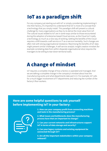# IoT as a paradigm shift

For any company just starting out with IoT or simply considering implementing it into their factory, it's important to understand that IoT is more of a concept than a technology that you simply install. This paradigm shift will present a cultural challenge for many organisations as they try to derive the most value from IoT. The cultural issues related to IoT are in some ways similar to those encountered during the adoption of enterprise-based Cloud services, as the Cloud isn't really a technology as much as a new way of working. Getting the benefits of the Cloud requires a shift towards a self-service or IT-as-a-service mentality. Such changes are often met with strong organisational resistance. Maximising the benefits of IoT data might present similar challenges. A self-service analytic insight creation mindset (for example correlating data from within disparate organisational silos) requires the managers to be willing to tear down territorial walls.

# A change of mindset

IoT requires a complete change of how a factory is operated and managed. And we are talking a complete change in the company's mindset about how the manufacturing works and what departments take part in it. For example, IoT calls for a much bigger involvement of IT departments and reducing the number of the factory's floor workers.

### **Here are some helpful questions to ask yourself before implementing IoT in your factory:**



**1. How can your company profit from connecting machines and tools in the manufacturing process?**

**2. What issues and bottlenecks does the manufacturing process have that are important to change?**

**3. Can your current networks and infrastructures support IoT in terms of data storage and security?**

**4. Can your legacy systems and existing equipment be connected through IoT?**

**5. Are all the important stakeholders within your company onboard?**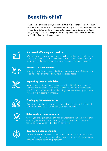# Benefits of IoT

The benefits of IoT are many, but something that is common for most of them is cost reduction. Whether it is through better quality of products, fewer work-related accidents, or better tracking of shipments – the implementation of IoT typically brings in significant cost savings for a company. In our experience with clients, we've identified the following benefits:



### Increased efficiency and quality.

When all the machines in a plant are connected, a higher level of automation and control is achieved. Predictive Maintenance enables a higher and more stable quality of products, as mistakes due to human error are eliminated.



#### More accurate deliveries.

Adding IoT to shipping boxes and vehicles increases delivery efficiency, both in terms of delivery time and how intact the products are.



#### Expanding on AI capabilities.

As mentioned earlier, a Smart Factory gets better at its job the more data it analyses. The benefit of having access to massive amounts of data that are specific to your products and manufacturing processes is creating your own AI model that is curated to your needs.



#### Freeing up human resources.

Routine and mundane tasks can be eliminated and experts can be assigned to more complex tasks instead of everyday work processes.



#### Safer working environments.

With IoT, an intelligent camera can monitor unsafe environments or recognise when a light on a machine is indicating abnormal conditions. The same technology can even be embedded in a safety suit.



#### Real-time decision making.

The connectivity of IoT devices allows you to monitor every part of the plant, from the presence of toxic particles in the air to stock levels of spare parts, and make adjustments as the day progresses.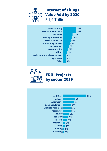

Internet of Things Value Add by 2020 \$ 1,9 Trillion

| <b>Manufacturing</b>                       | 15% |
|--------------------------------------------|-----|
| <b>Healthcare Providers</b>                | 15% |
| <b>Insurance</b>                           | 11% |
| <b>Banking &amp; Securities</b>            | 10% |
| <b>Retail &amp; Wholesale</b>              | 9%  |
| <b>Computing Services</b>                  | 8%  |
| Government                                 | 7%  |
| <b>Transportation</b>                      | 6%  |
| <b>Utilities</b>                           | 5%  |
| <b>Real Estate &amp; Business Services</b> | 4%  |
| <b>Agriculture</b>                         | 4%  |
| <b>Other</b>                               | 3%  |



# ERNI Projects by sector 2019

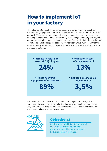# How to implement IoT in your factory

The Industrial Internet of Things can collect an impressive amount of data from manufacturing equipment in production and transmit it to devices that can store and analyse it. The main obstacle when trying to implement the technology used to be analysing the data that had been collected. By using an Edge Computing-Servers, this analysis can easily be done on site and in real time. This greatly diminishes the burden on networks and also keeps the costs low. An Aberdeen Group study found that the best-in-class organisations (top 20 percent) that employ predictive analytics for asset management attained:



The roadmap to IoT success that we shared earlier might look simple, but IoT implementations are far more complicated than software updates or supply chain integration projects. They require new skill sets and involve multiple business units and operational teams across the company.



# Objective #1

Gaining **better visibility** into and control over business-critical equipment is the number one objective in using IIoT (Industrial Internet of Things).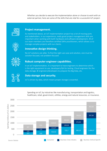Whether you decide to execute the implementation alone or choose to work with an external partner, here are some of the skills that are vital for a successful IoT project:



#### **Project management.**

As mentioned above, an IoT implementation project has a lot of moving parts and stakeholders. In our experience, really good project management skills are important when working with both hardware and software development. All of our team members are therefore certified SAFe practitioners, which allows us to manage complex projects with our clients.



#### **Innovative design thinking.**

No IoT solutions are alike. To find the right use case and solution, one must be solution-focused, not problem-focused.



### **Robust computer engineer capabilities.**

In an IoT implementation, it is important to have engineers to determine which is the right equipment to use, developers/QA for testing, Cloud engineers for the data storage, BI engineers/developers to prepare the Big Data, etc.



### **Data storage and security.**

IoT is driven by data, which means proper storage is essential.



Spending on IoT, by industries like manufacturing, transportation and logistics, healthcare, retail, government, utilities, energy and natural resources, or insurance.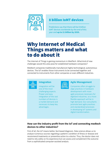

# 8 billion IoMT devices

Predictions say that there will be 8 billion IoMT devices worldwide by the end of this year and **up to 21 billion by 2020.**

# Why Internet of Medical Things matters and what to do about it

The Internet of Things is gaining momentum in MedTech. What kind of new challenges would this area pose for established hardware companies?

Medtech companies traditionally manufacture highly technological, autonomous devices. The IoT enables those instruments to be connected together and connected to instruments from other companies or even different industries.



#### **Integration**

Integration will be one of the most challenging aspects. Proper and easy integration of the vast numbers of devices is a market demand and necessary to keep key advantages.



### **Agile Management**

Companies often struggle to align practices in hardware development with more agile processes necessary for digitized industries, so a more flexible approach will be in high demand. Our consultants promote best agile practices and standardised processes in developing IoT systems and digital transformation.

### **How can the industry profit from the IoT and connecting medtech devices to other industries?**

First of all, the IoT means better, fact-based diagnosis. Data science allows us to analyse numerous sources regarding a patient's condition of illness or disease and recommend treatments or preventive action to a doctor. Thus, the doctor does not need to rely solely on his experience but can assess and complement the outcome from a sophisticated computer-assisted analysis.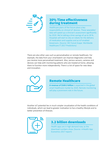

### 30% Time effectiveness during treatment

Healthcare plans of the future place a key responsibility on clinical IoT devices. These wearables' data will speed up a clinician's assessment significantly by 2019. We're talking a time savings of up to 30 %. Hospitals will start to rely on robots for the delivery of medication and supplies and as IoT-enabled biosensors. (Source: IDC Future Scape: Worldwide Healthcare IT 2017 Predictions)

There are also other uses such as personalisation or remote healthcare. For example, the data from your smartwatch can improve diagnostics and help you receive more personalised treatment. Also, various sensors, cameras and devices can help with monitoring patients who are treated at home, allowing them to function more independently. There is a lot of space for new ideas and innovation.



## Remote Healthcare

**A revenue of \$169.3 billion** is expected in the global smart healthcare market by 2020. Remote monitoring will play a prominent role in the future.

Another IoT potential lies in much simpler visualization of the health conditions of individuals, which can lead to greater motivation to live a healthy lifestyle and to better prevention of illnesses.



# 3.2 billion downloads

Health apps are in high demand now, as the download numbers show. (Source: mHealth App Economics 2017 report)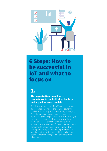

# 6 Steps: How to be successful in IoT and what to focus on

# 1.

### The organisation should have competence in the field of technology and a good business model.

The first step to a successful IoT journey is to have a goal and an ROI model, and to understand the market. The best way to initiate IoT is by employing Agile development and systems engineering. Systems engineering practices are vital for managing the complexity and creating the best solutions for the devices. This is connected with system architecture (the overview of the whole system and its components), requirement engineering and system testing. With the Agile methodologies, KANBAN and sprint planning, the teams are able to collaborate better and stay on the right path throughout the whole process.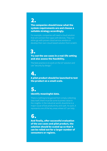# 2.

### The companies should know what the system requirements are and choose a suitable strategy accordingly.

For example, companies will need a cloud solution that will connect their apps with devices. They can either go with proven cloud service vendors or develop their own cloud-based solution from scratch.

# Try out the use cases in a real-life setting and also assess the feasibility. 3.

The best practice is to work on the IoT solution and use "security by design."

# A pilot product should be launched to test the product on a small scale. 4.

# Identify meaningful data. 5.

There is nothing to be gained from simply collecting data itself; there must be some business value in the insights. In the industrial world, downtime is a major cause of lost productivity and cash. As such, it represents one of the key areas where IoT can help.

# 6.

And finally, after successful evaluation of the use cases and pilot product, the solution should be scaled up so that it can be rolled out for a larger number of consumers or regions.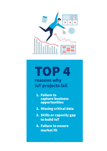

# TOP 4

**reasons why IoT projects fail**

- 1. Failure to capture business opportunities
- 2. Missing critical data
- 3. Skills or capacity gap to build IoT
- 4. Failure to ensure market fit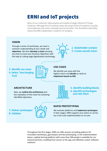# ERNI and IoT projects

Many of our customers' data projects are subsets of larger Internet of Things initiatives. Although the IoT produces data, the scope of the IoT projects is usually more extensive and covers a broader pool of activities. This illustration describes/ shows the ERNI collaboration model for IoT projects.

#### **VISION**

Through a series of workshops, we reach a common understanding of your needs and **objectives**. We then **develop a vision** showing you how to reach your business objectives with the help of cutting-edge digitalisation technology.

**1. Stakeholder analysis 2. Create overall vision**

- **3. Identify use cases**
- **4. Select ´low-hanging fruit´**



### **USE CASES**

We identify use cases with the highest return and **decide** on what to **implement based on ROI.**

### **ARCHITECTURE**

Next, we **outline the architecture** and the realisation of the vision for achieving identified objectives.



**5. Identify building blocks 6. Identify technologies and rate them** 

### **7. Deliver prototypes 8. Validate**



### **RAPID PROTOTYPING**

We evaluate platforms and **implement prototypes**. In later stages, ERNI supports your teams or carries out a full-scale implementation on its own.

Throughout the first stages, ERNI can offer proven consulting patterns for innovation workshops, gap analysis and fast prototyping. In the implementation phase, a global shoring platform with more than 500 people is available for our external partners, enabling from sensor to the app cost-effective custom software solutions.